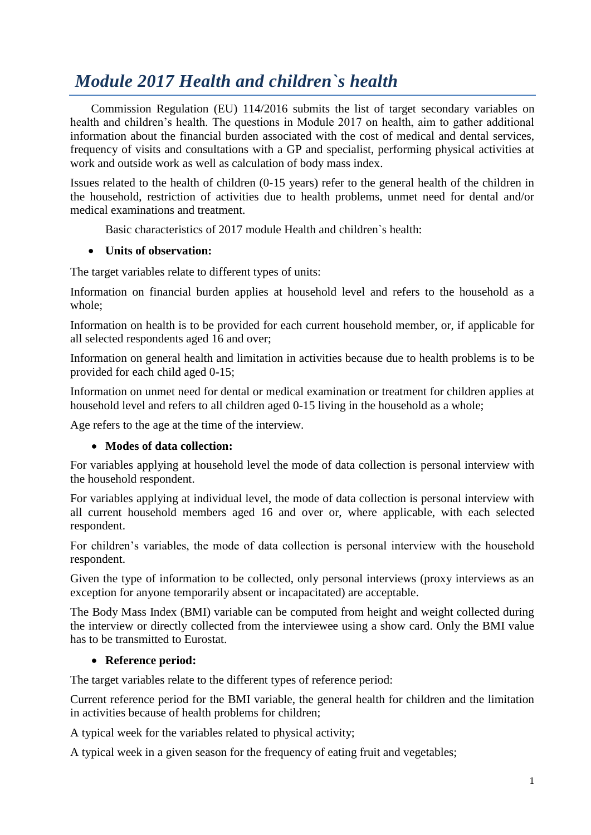## *Module 2017 Health and children`s health*

 Commission Regulation (EU) 114/2016 submits the list of target secondary variables on health and children's health. The questions in Module 2017 on health, aim to gather additional information about the financial burden associated with the cost of medical and dental services, frequency of visits and consultations with a GP and specialist, performing physical activities at work and outside work as well as calculation of body mass index.

Issues related to the health of children (0-15 years) refer to the general health of the children in the household, restriction of activities due to health problems, unmet need for dental and/or medical examinations and treatment.

Basic characteristics of 2017 module Health and children`s health:

## **Units of observation:**

The target variables relate to different types of units:

Information on financial burden applies at household level and refers to the household as a whole;

Information on health is to be provided for each current household member, or, if applicable for all selected respondents aged 16 and over;

Information on general health and limitation in activities because due to health problems is to be provided for each child aged 0-15;

Information on unmet need for dental or medical examination or treatment for children applies at household level and refers to all children aged 0-15 living in the household as a whole;

Age refers to the age at the time of the interview.

## **Modes of data collection:**

For variables applying at household level the mode of data collection is personal interview with the household respondent.

For variables applying at individual level, the mode of data collection is personal interview with all current household members aged 16 and over or, where applicable, with each selected respondent.

For children's variables, the mode of data collection is personal interview with the household respondent.

Given the type of information to be collected, only personal interviews (proxy interviews as an exception for anyone temporarily absent or incapacitated) are acceptable.

The Body Mass Index (BMI) variable can be computed from height and weight collected during the interview or directly collected from the interviewee using a show card. Only the BMI value has to be transmitted to Eurostat.

## **Reference period:**

The target variables relate to the different types of reference period:

Current reference period for the BMI variable, the general health for children and the limitation in activities because of health problems for children;

A typical week for the variables related to physical activity;

A typical week in a given season for the frequency of eating fruit and vegetables;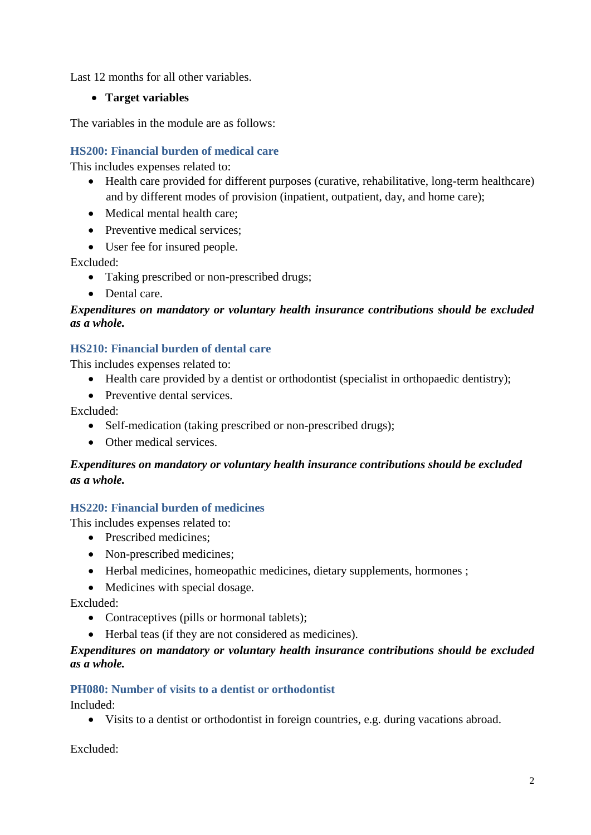Last 12 months for all other variables.

## **Target variables**

The variables in the module are as follows:

## **HS200: Financial burden of medical care**

This includes expenses related to:

- Health care provided for different purposes (curative, rehabilitative, long-term healthcare) and by different modes of provision (inpatient, outpatient, day, and home care);
- Medical mental health care:
- Preventive medical services:
- User fee for insured people.

Excluded:

- Taking prescribed or non-prescribed drugs;
- Dental care.

## *Expenditures on mandatory or voluntary health insurance contributions should be excluded as a whole.*

## **HS210: Financial burden of dental care**

This includes expenses related to:

- Health care provided by a dentist or orthodontist (specialist in orthopaedic dentistry);
- Preventive dental services.

Excluded:

- Self-medication (taking prescribed or non-prescribed drugs);
- Other medical services.

## *Expenditures on mandatory or voluntary health insurance contributions should be excluded as a whole.*

## **HS220: Financial burden of medicines**

This includes expenses related to:

- Prescribed medicines:
- Non-prescribed medicines;
- Herbal medicines, homeopathic medicines, dietary supplements, hormones ;
- Medicines with special dosage.

Excluded:

- Contraceptives (pills or hormonal tablets);
- Herbal teas (if they are not considered as medicines).

## *Expenditures on mandatory or voluntary health insurance contributions should be excluded as a whole.*

## **PH080: Number of visits to a dentist or orthodontist**

Included:

Visits to a dentist or orthodontist in foreign countries, e.g. during vacations abroad.

Excluded: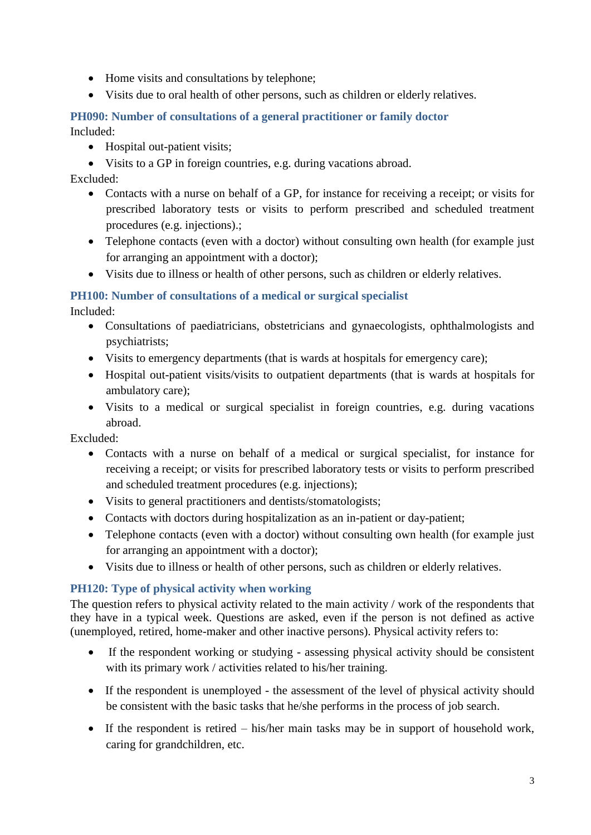- Home visits and consultations by telephone;
- Visits due to oral health of other persons, such as children or elderly relatives.

## **PH090: Number of consultations of a general practitioner or family doctor**

Included:

- Hospital out-patient visits;
- Visits to a GP in foreign countries, e.g. during vacations abroad.

Excluded:

- Contacts with a nurse on behalf of a GP, for instance for receiving a receipt; or visits for prescribed laboratory tests or visits to perform prescribed and scheduled treatment procedures (e.g. injections).;
- Telephone contacts (even with a doctor) without consulting own health (for example just for arranging an appointment with a doctor);
- Visits due to illness or health of other persons, such as children or elderly relatives.

## **PH100: Number of consultations of a medical or surgical specialist**

Included:

- Consultations of paediatricians, obstetricians and gynaecologists, ophthalmologists and psychiatrists;
- Visits to emergency departments (that is wards at hospitals for emergency care);
- Hospital out-patient visits/visits to outpatient departments (that is wards at hospitals for ambulatory care);
- Visits to a medical or surgical specialist in foreign countries, e.g. during vacations abroad.

Excluded:

- Contacts with a nurse on behalf of a medical or surgical specialist, for instance for receiving a receipt; or visits for prescribed laboratory tests or visits to perform prescribed and scheduled treatment procedures (e.g. injections);
- Visits to general practitioners and dentists/stomatologists;
- Contacts with doctors during hospitalization as an in-patient or day-patient;
- Telephone contacts (even with a doctor) without consulting own health (for example just for arranging an appointment with a doctor);
- Visits due to illness or health of other persons, such as children or elderly relatives.

## **PH120: Type of physical activity when working**

The question refers to physical activity related to the main activity / work of the respondents that they have in a typical week. Questions are asked, even if the person is not defined as active (unemployed, retired, home-maker and other inactive persons). Physical activity refers to:

- If the respondent working or studying assessing physical activity should be consistent with its primary work / activities related to his/her training.
- If the respondent is unemployed the assessment of the level of physical activity should be consistent with the basic tasks that he/she performs in the process of job search.
- If the respondent is retired his/her main tasks may be in support of household work, caring for grandchildren, etc.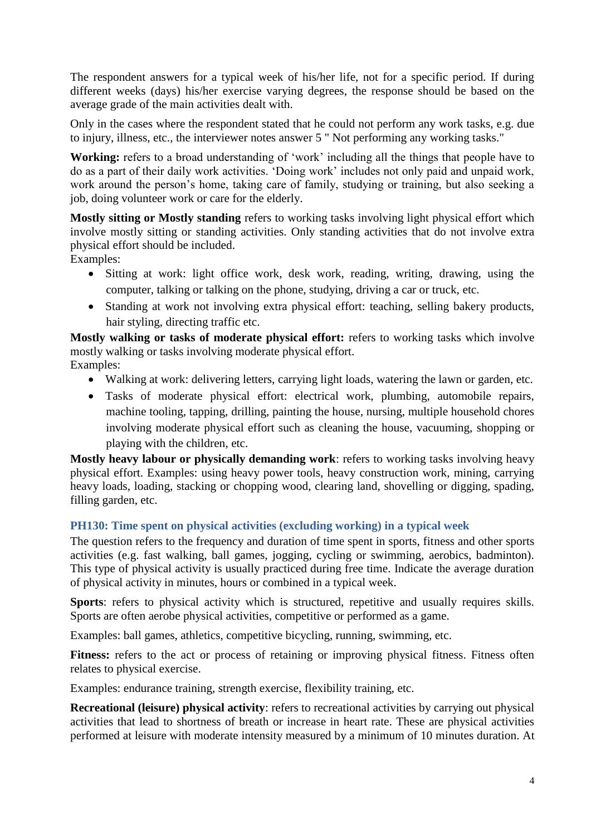The respondent answers for a typical week of his/her life, not for a specific period. If during different weeks (days) his/her exercise varying degrees, the response should be based on the average grade of the main activities dealt with.

Only in the cases where the respondent stated that he could not perform any work tasks, e.g. due to injury, illness, etc., the interviewer notes answer 5 " Not performing any working tasks."

**Working:** refers to a broad understanding of 'work' including all the things that people have to do as a part of their daily work activities. 'Doing work' includes not only paid and unpaid work, work around the person's home, taking care of family, studying or training, but also seeking a job, doing volunteer work or care for the elderly.

**Mostly sitting or Mostly standing** refers to working tasks involving light physical effort which involve mostly sitting or standing activities. Only standing activities that do not involve extra physical effort should be included.

Examples:

- Sitting at work: light office work, desk work, reading, writing, drawing, using the computer, talking or talking on the phone, studying, driving a car or truck, etc.
- Standing at work not involving extra physical effort: teaching, selling bakery products, hair styling, directing traffic etc.

**Mostly walking or tasks of moderate physical effort:** refers to working tasks which involve mostly walking or tasks involving moderate physical effort. Examples:

- Walking at work: delivering letters, carrying light loads, watering the lawn or garden, etc.
- Tasks of moderate physical effort: electrical work, plumbing, automobile repairs, machine tooling, tapping, drilling, painting the house, nursing, multiple household chores involving moderate physical effort such as cleaning the house, vacuuming, shopping or playing with the children, etc.

**Mostly heavy labour or physically demanding work**: refers to working tasks involving heavy physical effort. Examples: using heavy power tools, heavy construction work, mining, carrying heavy loads, loading, stacking or chopping wood, clearing land, shovelling or digging, spading, filling garden, etc.

## **PH130: Time spent on physical activities (excluding working) in a typical week**

The question refers to the frequency and duration of time spent in sports, fitness and other sports activities (e.g. fast walking, ball games, jogging, cycling or swimming, aerobics, badminton). This type of physical activity is usually practiced during free time. Indicate the average duration of physical activity in minutes, hours or combined in a typical week.

**Sports**: refers to physical activity which is structured, repetitive and usually requires skills. Sports are often aerobe physical activities, competitive or performed as a game.

Examples: ball games, athletics, competitive bicycling, running, swimming, etc.

Fitness: refers to the act or process of retaining or improving physical fitness. Fitness often relates to physical exercise.

Examples: endurance training, strength exercise, flexibility training, etc.

**Recreational (leisure) physical activity**: refers to recreational activities by carrying out physical activities that lead to shortness of breath or increase in heart rate. These are physical activities performed at leisure with moderate intensity measured by a minimum of 10 minutes duration. At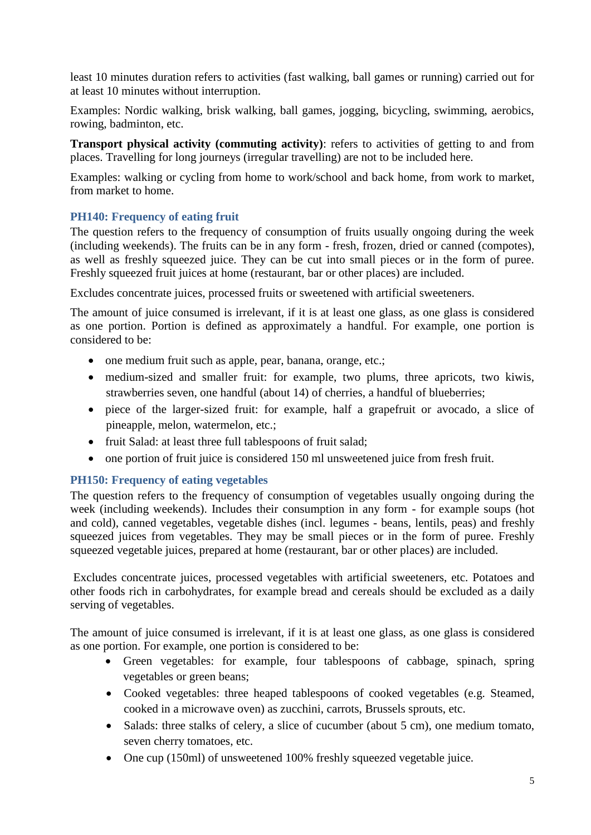least 10 minutes duration refers to activities (fast walking, ball games or running) carried out for at least 10 minutes without interruption.

Examples: Nordic walking, brisk walking, ball games, jogging, bicycling, swimming, aerobics, rowing, badminton, etc.

**Transport physical activity (commuting activity)**: refers to activities of getting to and from places. Travelling for long journeys (irregular travelling) are not to be included here.

Examples: walking or cycling from home to work/school and back home, from work to market, from market to home.

## **PH140: Frequency of eating fruit**

The question refers to the frequency of consumption of fruits usually ongoing during the week (including weekends). The fruits can be in any form - fresh, frozen, dried or canned (compotes), as well as freshly squeezed juice. They can be cut into small pieces or in the form of puree. Freshly squeezed fruit juices at home (restaurant, bar or other places) are included.

Excludes concentrate juices, processed fruits or sweetened with artificial sweeteners.

The amount of juice consumed is irrelevant, if it is at least one glass, as one glass is considered as one portion. Portion is defined as approximately a handful. For example, one portion is considered to be:

- one medium fruit such as apple, pear, banana, orange, etc.;
- medium-sized and smaller fruit: for example, two plums, three apricots, two kiwis, strawberries seven, one handful (about 14) of cherries, a handful of blueberries;
- piece of the larger-sized fruit: for example, half a grapefruit or avocado, a slice of pineapple, melon, watermelon, etc.;
- fruit Salad: at least three full tablespoons of fruit salad;
- one portion of fruit juice is considered 150 ml unsweetened juice from fresh fruit.

## **PH150: Frequency of eating vegetables**

The question refers to the frequency of consumption of vegetables usually ongoing during the week (including weekends). Includes their consumption in any form - for example soups (hot and cold), canned vegetables, vegetable dishes (incl. legumes - beans, lentils, peas) and freshly squeezed juices from vegetables. They may be small pieces or in the form of puree. Freshly squeezed vegetable juices, prepared at home (restaurant, bar or other places) are included.

Excludes concentrate juices, processed vegetables with artificial sweeteners, etc. Potatoes and other foods rich in carbohydrates, for example bread and cereals should be excluded as a daily serving of vegetables.

The amount of juice consumed is irrelevant, if it is at least one glass, as one glass is considered as one portion. For example, one portion is considered to be:

- Green vegetables: for example, four tablespoons of cabbage, spinach, spring vegetables or green beans;
- Cooked vegetables: three heaped tablespoons of cooked vegetables (e.g. Steamed, cooked in a microwave oven) as zucchini, carrots, Brussels sprouts, etc.
- Salads: three stalks of celery, a slice of cucumber (about 5 cm), one medium tomato, seven cherry tomatoes, etc.
- One cup (150ml) of unsweetened 100% freshly squeezed vegetable juice.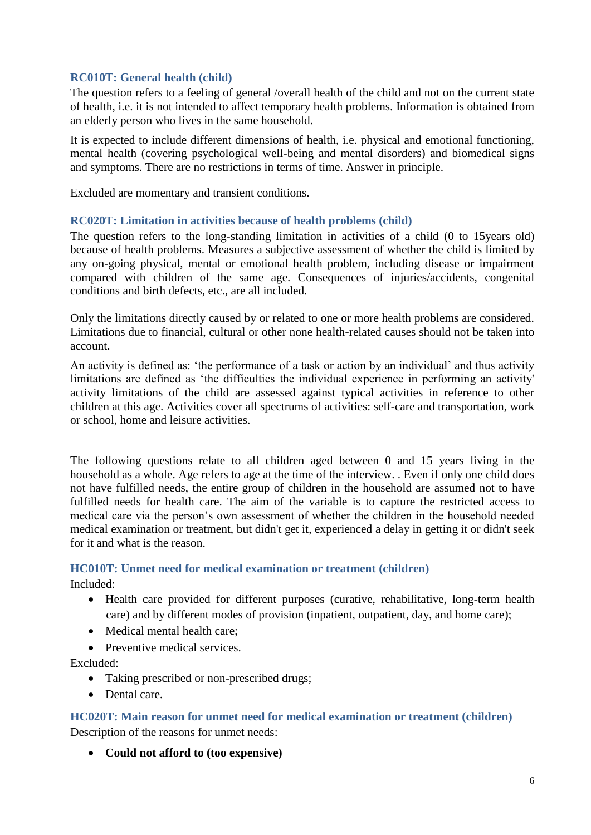## **RC010T: General health (child)**

The question refers to a feeling of general /overall health of the child and not on the current state of health, i.e. it is not intended to affect temporary health problems. Information is obtained from an elderly person who lives in the same household.

It is expected to include different dimensions of health, i.e. physical and emotional functioning, mental health (covering psychological well-being and mental disorders) and biomedical signs and symptoms. There are no restrictions in terms of time. Answer in principle.

Excluded are momentary and transient conditions.

#### **RC020T: Limitation in activities because of health problems (child)**

The question refers to the long-standing limitation in activities of a child (0 to 15years old) because of health problems. Measures a subjective assessment of whether the child is limited by any on-going physical, mental or emotional health problem, including disease or impairment compared with children of the same age. Consequences of injuries/accidents, congenital conditions and birth defects, etc., are all included.

Only the limitations directly caused by or related to one or more health problems are considered. Limitations due to financial, cultural or other none health-related causes should not be taken into account.

An activity is defined as: 'the performance of a task or action by an individual' and thus activity limitations are defined as 'the difficulties the individual experience in performing an activity' activity limitations of the child are assessed against typical activities in reference to other children at this age. Activities cover all spectrums of activities: self-care and transportation, work or school, home and leisure activities.

The following questions relate to all children aged between 0 and 15 years living in the household as a whole. Age refers to age at the time of the interview. . Even if only one child does not have fulfilled needs, the entire group of children in the household are assumed not to have fulfilled needs for health care. The aim of the variable is to capture the restricted access to medical care via the person's own assessment of whether the children in the household needed medical examination or treatment, but didn't get it, experienced a delay in getting it or didn't seek for it and what is the reason.

#### **HC010T: Unmet need for medical examination or treatment (children)**

Included:

- Health care provided for different purposes (curative, rehabilitative, long-term health care) and by different modes of provision (inpatient, outpatient, day, and home care);
- Medical mental health care:
- Preventive medical services.

Excluded:

- Taking prescribed or non-prescribed drugs;
- Dental care.

**HC020T: Main reason for unmet need for medical examination or treatment (children)** Description of the reasons for unmet needs:

**Could not afford to (too expensive)**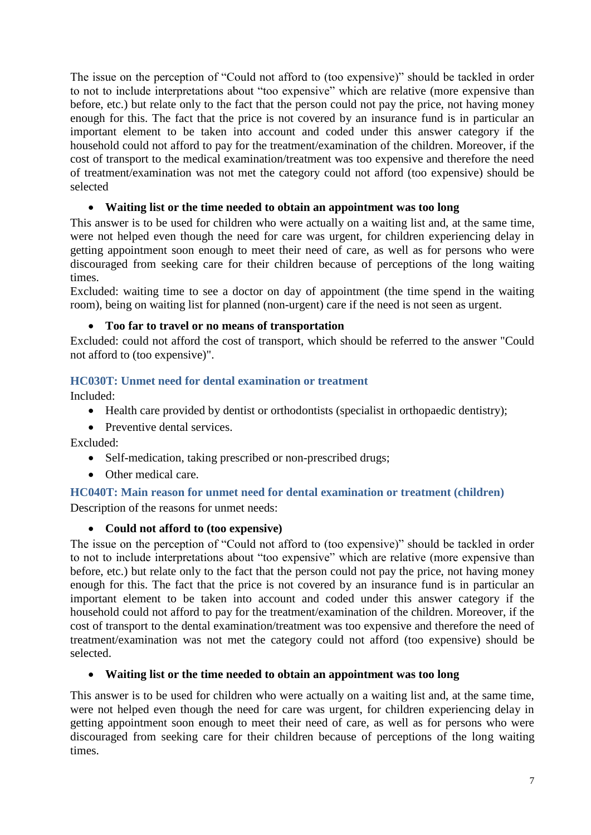The issue on the perception of "Could not afford to (too expensive)" should be tackled in order to not to include interpretations about "too expensive" which are relative (more expensive than before, etc.) but relate only to the fact that the person could not pay the price, not having money enough for this. The fact that the price is not covered by an insurance fund is in particular an important element to be taken into account and coded under this answer category if the household could not afford to pay for the treatment/examination of the children. Moreover, if the cost of transport to the medical examination/treatment was too expensive and therefore the need of treatment/examination was not met the category could not afford (too expensive) should be selected

## **Waiting list or the time needed to obtain an appointment was too long**

This answer is to be used for children who were actually on a waiting list and, at the same time, were not helped even though the need for care was urgent, for children experiencing delay in getting appointment soon enough to meet their need of care, as well as for persons who were discouraged from seeking care for their children because of perceptions of the long waiting times.

Excluded: waiting time to see a doctor on day of appointment (the time spend in the waiting room), being on waiting list for planned (non-urgent) care if the need is not seen as urgent.

#### **Too far to travel or no means of transportation**

Excluded: could not afford the cost of transport, which should be referred to the answer "Could not afford to (too expensive)".

#### **HC030T: Unmet need for dental examination or treatment**

Included:

- Health care provided by dentist or orthodontists (specialist in orthopaedic dentistry);
- Preventive dental services.

Excluded:

- Self-medication, taking prescribed or non-prescribed drugs;
- Other medical care.

#### **HC040T: Main reason for unmet need for dental examination or treatment (children)**

Description of the reasons for unmet needs:

## **Could not afford to (too expensive)**

The issue on the perception of "Could not afford to (too expensive)" should be tackled in order to not to include interpretations about "too expensive" which are relative (more expensive than before, etc.) but relate only to the fact that the person could not pay the price, not having money enough for this. The fact that the price is not covered by an insurance fund is in particular an important element to be taken into account and coded under this answer category if the household could not afford to pay for the treatment/examination of the children. Moreover, if the cost of transport to the dental examination/treatment was too expensive and therefore the need of treatment/examination was not met the category could not afford (too expensive) should be selected.

#### **Waiting list or the time needed to obtain an appointment was too long**

This answer is to be used for children who were actually on a waiting list and, at the same time, were not helped even though the need for care was urgent, for children experiencing delay in getting appointment soon enough to meet their need of care, as well as for persons who were discouraged from seeking care for their children because of perceptions of the long waiting times.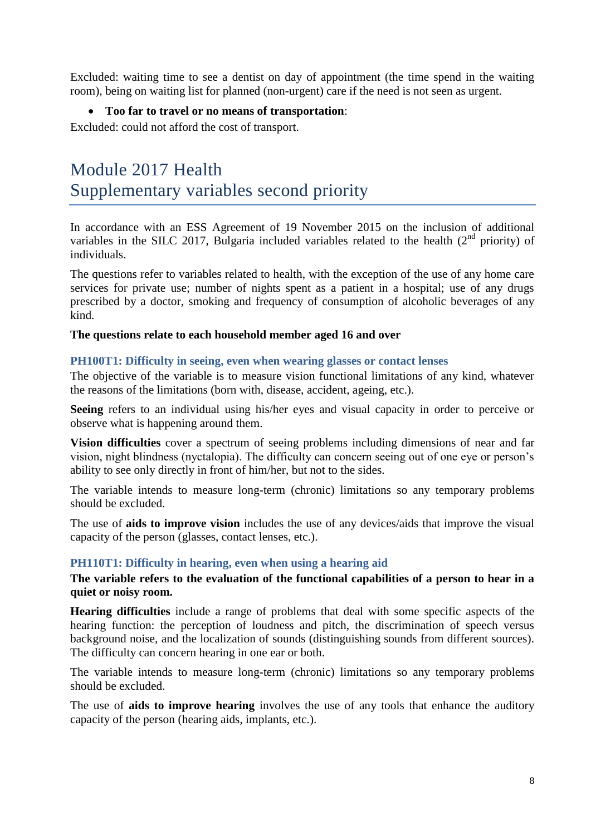Excluded: waiting time to see a dentist on day of appointment (the time spend in the waiting room), being on waiting list for planned (non-urgent) care if the need is not seen as urgent.

#### **Too far to travel or no means of transportation**:

Excluded: could not afford the cost of transport.

# Module 2017 Health Supplementary variables second priority

In accordance with an ESS Agreement of 19 November 2015 on the inclusion of additional variables in the SILC 2017, Bulgaria included variables related to the health  $(2<sup>nd</sup>$  priority) of individuals.

The questions refer to variables related to health, with the exception of the use of any home care services for private use; number of nights spent as a patient in a hospital; use of any drugs prescribed by a doctor, smoking and frequency of consumption of alcoholic beverages of any kind.

#### **The questions relate to each household member aged 16 and over**

#### **PH100T1: Difficulty in seeing, even when wearing glasses or contact lenses**

The objective of the variable is to measure vision functional limitations of any kind, whatever the reasons of the limitations (born with, disease, accident, ageing, etc.).

**Seeing** refers to an individual using his/her eyes and visual capacity in order to perceive or observe what is happening around them.

**Vision difficulties** cover a spectrum of seeing problems including dimensions of near and far vision, night blindness (nyctalopia). The difficulty can concern seeing out of one eye or person's ability to see only directly in front of him/her, but not to the sides.

The variable intends to measure long-term (chronic) limitations so any temporary problems should be excluded.

The use of **aids to improve vision** includes the use of any devices/aids that improve the visual capacity of the person (glasses, contact lenses, etc.).

#### **PH110T1: Difficulty in hearing, even when using a hearing aid**

#### **The variable refers to the evaluation of the functional capabilities of a person to hear in a quiet or noisy room.**

**Hearing difficulties** include a range of problems that deal with some specific aspects of the hearing function: the perception of loudness and pitch, the discrimination of speech versus background noise, and the localization of sounds (distinguishing sounds from different sources). The difficulty can concern hearing in one ear or both.

The variable intends to measure long-term (chronic) limitations so any temporary problems should be excluded.

The use of **aids to improve hearing** involves the use of any tools that enhance the auditory capacity of the person (hearing aids, implants, etc.).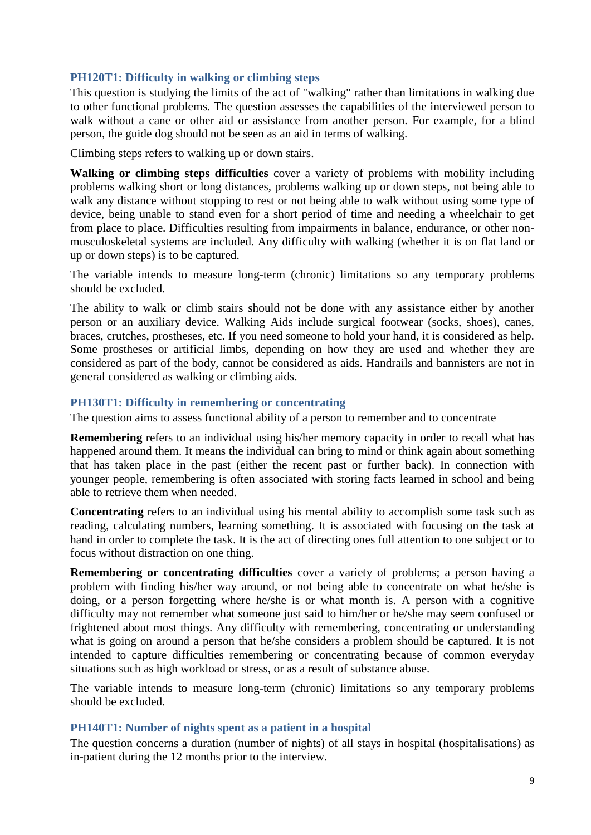## **PH120T1: Difficulty in walking or climbing steps**

This question is studying the limits of the act of "walking" rather than limitations in walking due to other functional problems. The question assesses the capabilities of the interviewed person to walk without a cane or other aid or assistance from another person. For example, for a blind person, the guide dog should not be seen as an aid in terms of walking.

Climbing steps refers to walking up or down stairs.

**Walking or climbing steps difficulties** cover a variety of problems with mobility including problems walking short or long distances, problems walking up or down steps, not being able to walk any distance without stopping to rest or not being able to walk without using some type of device, being unable to stand even for a short period of time and needing a wheelchair to get from place to place. Difficulties resulting from impairments in balance, endurance, or other nonmusculoskeletal systems are included. Any difficulty with walking (whether it is on flat land or up or down steps) is to be captured.

The variable intends to measure long-term (chronic) limitations so any temporary problems should be excluded.

The ability to walk or climb stairs should not be done with any assistance either by another person or an auxiliary device. Walking Aids include surgical footwear (socks, shoes), canes, braces, crutches, prostheses, etc. If you need someone to hold your hand, it is considered as help. Some prostheses or artificial limbs, depending on how they are used and whether they are considered as part of the body, cannot be considered as aids. Handrails and bannisters are not in general considered as walking or climbing aids.

#### **PH130T1: Difficulty in remembering or concentrating**

The question aims to assess functional ability of a person to remember and to concentrate

**Remembering** refers to an individual using his/her memory capacity in order to recall what has happened around them. It means the individual can bring to mind or think again about something that has taken place in the past (either the recent past or further back). In connection with younger people, remembering is often associated with storing facts learned in school and being able to retrieve them when needed.

**Concentrating** refers to an individual using his mental ability to accomplish some task such as reading, calculating numbers, learning something. It is associated with focusing on the task at hand in order to complete the task. It is the act of directing ones full attention to one subject or to focus without distraction on one thing.

**Remembering or concentrating difficulties** cover a variety of problems; a person having a problem with finding his/her way around, or not being able to concentrate on what he/she is doing, or a person forgetting where he/she is or what month is. A person with a cognitive difficulty may not remember what someone just said to him/her or he/she may seem confused or frightened about most things. Any difficulty with remembering, concentrating or understanding what is going on around a person that he/she considers a problem should be captured. It is not intended to capture difficulties remembering or concentrating because of common everyday situations such as high workload or stress, or as a result of substance abuse.

The variable intends to measure long-term (chronic) limitations so any temporary problems should be excluded.

#### **PH140T1: Number of nights spent as a patient in a hospital**

The question concerns a duration (number of nights) of all stays in hospital (hospitalisations) as in-patient during the 12 months prior to the interview.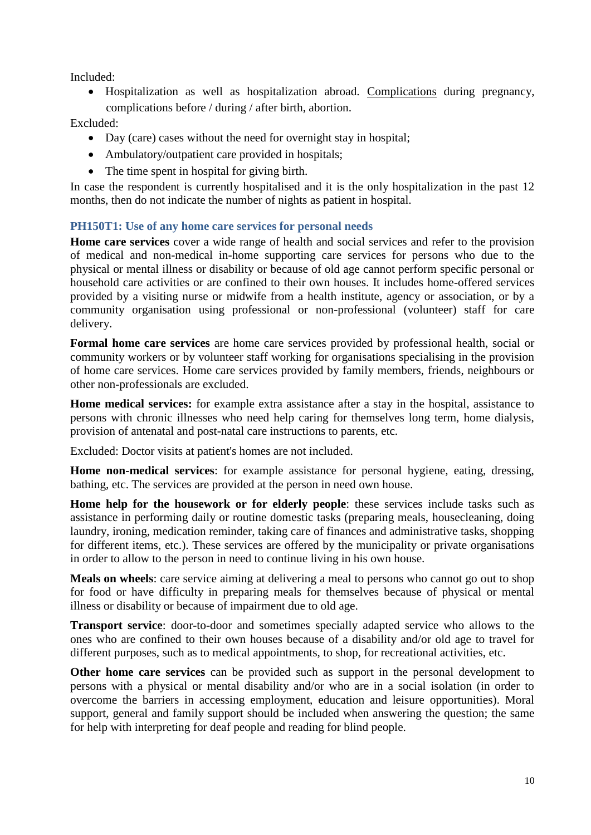Included:

 Hospitalization as well as hospitalization abroad. Complications during pregnancy, complications before / during / after birth, abortion.

## Excluded:

- Day (care) cases without the need for overnight stay in hospital;
- Ambulatory/outpatient care provided in hospitals;
- The time spent in hospital for giving birth.

In case the respondent is currently hospitalised and it is the only hospitalization in the past 12 months, then do not indicate the number of nights as patient in hospital.

## **PH150T1: Use of any home care services for personal needs**

**Home care services** cover a wide range of health and social services and refer to the provision of medical and non-medical in-home supporting care services for persons who due to the physical or mental illness or disability or because of old age cannot perform specific personal or household care activities or are confined to their own houses. It includes home-offered services provided by a visiting nurse or midwife from a health institute, agency or association, or by a community organisation using professional or non-professional (volunteer) staff for care delivery.

**Formal home care services** are home care services provided by professional health, social or community workers or by volunteer staff working for organisations specialising in the provision of home care services. Home care services provided by family members, friends, neighbours or other non-professionals are excluded.

**Home medical services:** for example extra assistance after a stay in the hospital, assistance to persons with chronic illnesses who need help caring for themselves long term, home dialysis, provision of antenatal and post-natal care instructions to parents, etc.

Excluded: Doctor visits at patient's homes are not included.

**Home non-medical services**: for example assistance for personal hygiene, eating, dressing, bathing, etc. The services are provided at the person in need own house.

**Home help for the housework or for elderly people**: these services include tasks such as assistance in performing daily or routine domestic tasks (preparing meals, housecleaning, doing laundry, ironing, medication reminder, taking care of finances and administrative tasks, shopping for different items, etc.). These services are offered by the municipality or private organisations in order to allow to the person in need to continue living in his own house.

**Meals on wheels**: care service aiming at delivering a meal to persons who cannot go out to shop for food or have difficulty in preparing meals for themselves because of physical or mental illness or disability or because of impairment due to old age.

**Transport service**: door-to-door and sometimes specially adapted service who allows to the ones who are confined to their own houses because of a disability and/or old age to travel for different purposes, such as to medical appointments, to shop, for recreational activities, etc.

**Other home care services** can be provided such as support in the personal development to persons with a physical or mental disability and/or who are in a social isolation (in order to overcome the barriers in accessing employment, education and leisure opportunities). Moral support, general and family support should be included when answering the question; the same for help with interpreting for deaf people and reading for blind people.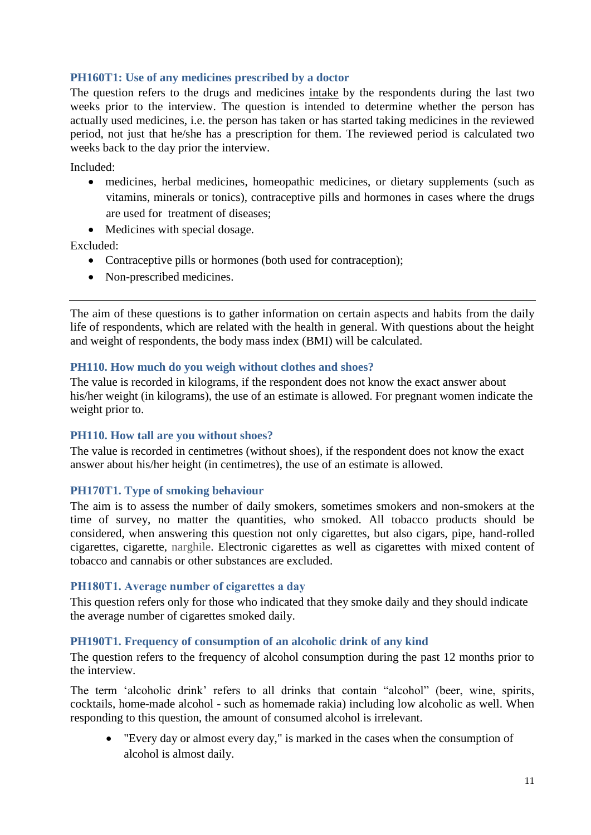## **PH160T1: Use of any medicines prescribed by a doctor**

The question refers to the drugs and medicines intake by the respondents during the last two weeks prior to the interview. The question is intended to determine whether the person has actually used medicines, i.e. the person has taken or has started taking medicines in the reviewed period, not just that he/she has a prescription for them. The reviewed period is calculated two weeks back to the day prior the interview.

Included:

- medicines, herbal medicines, homeopathic medicines, or dietary supplements (such as vitamins, minerals or tonics), contraceptive pills and hormones in cases where the drugs are used for treatment of diseases;
- Medicines with special dosage.

Excluded:

- Contraceptive pills or hormones (both used for contraception);
- Non-prescribed medicines.

The aim of these questions is to gather information on certain aspects and habits from the daily life of respondents, which are related with the health in general. With questions about the height and weight of respondents, the body mass index (BMI) will be calculated.

#### **PH110. How much do you weigh without clothes and shoes?**

The value is recorded in kilograms, if the respondent does not know the exact answer about his/her weight (in kilograms), the use of an estimate is allowed. For pregnant women indicate the weight prior to.

#### **PH110. How tall are you without shoes?**

The value is recorded in centimetres (without shoes), if the respondent does not know the exact answer about his/her height (in centimetres), the use of an estimate is allowed.

#### **PH170T1. Type of smoking behaviour**

The aim is to assess the number of daily smokers, sometimes smokers and non-smokers at the time of survey, no matter the quantities, who smoked. All tobacco products should be considered, when answering this question not only cigarettes, but also cigars, pipe, hand-rolled cigarettes, cigarette, narghile. Electronic cigarettes as well as cigarettes with mixed content of tobacco and cannabis or other substances are excluded.

#### **PH180Т1. Average number of cigarettes a day**

This question refers only for those who indicated that they smoke daily and they should indicate the average number of cigarettes smoked daily.

#### **PH190T1. Frequency of consumption of an alcoholic drink of any kind**

The question refers to the frequency of alcohol consumption during the past 12 months prior to the interview.

The term 'alcoholic drink' refers to all drinks that contain "alcohol" (beer, wine, spirits, cocktails, home-made alcohol - such as homemade rakia) including low alcoholic as well. When responding to this question, the amount of consumed alcohol is irrelevant.

 "Every day or almost every day," is marked in the cases when the consumption of alcohol is almost daily.